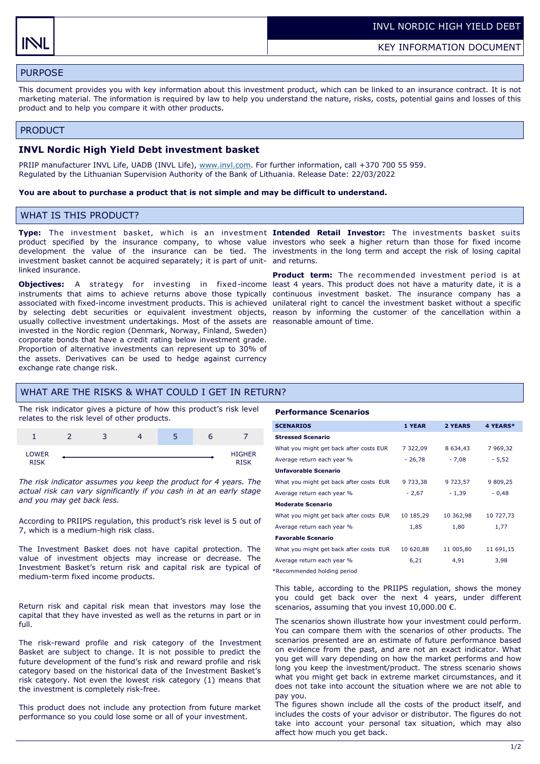# PURPOSE

This document provides you with key information about this investment product, which can be linked to an insurance contract. It is not marketing material. The information is required by law to help you understand the nature, risks, costs, potential gains and losses of this product and to help you compare it with other products.

#### PRODUCT

### **INVL Nordic High Yield Debt investment basket**

PRIIP manufacturer INVL Life, UADB (INVL Life), [www.invl.com.](http://www.invl.com) For further information, call +370 700 55 959. Regulated by the Lithuanian Supervision Authority of the Bank of Lithuania. Release Date: 22/03/2022

#### **You are about to purchase a product that is not simple and may be difficult to understand.**

## WHAT IS THIS PRODUCT?

investment basket cannot be acquired separately; it is part of unit-and returns. linked insurance.

**Objectives:** A strategy for investing in fixed-income least 4 years. This product does not have a maturity date, it is a instruments that aims to achieve returns above those typically continuous investment basket. The insurance company has a associated with fixed-income investment products. This is achieved unilateral right to cancel the investment basket without a specific by selecting debt securities or equivalent investment objects, reason by informing the customer of the cancellation within a usually collective investment undertakings. Most of the assets are reasonable amount of time. invested in the Nordic region (Denmark, Norway, Finland, Sweden) corporate bonds that have a credit rating below investment grade. Proportion of alternative investments can represent up to 30% of the assets. Derivatives can be used to hedge against currency exchange rate change risk.

**Type:** The investment basket, w hich is an investment **Intended Retail Investor:** The investments basket suits product specified by the insurance company, to whose value investors who seek a higher return than those for fixed income development the value of the insurance can be tied. The investments in the long term and accept the risk of losing capital

**Product term:** The recommended investment period is at

## WHAT ARE THE RISKS & WHAT COULD I GET IN RETURN?

The risk indicator gives a picture of how this product's risk level relates to the risk level of other products.



*The risk indicator assumes you keep the product for 4 years. The actual risk can vary significantly if you cash in at an early stage and you may get back less.* 

According to PRIIPS regulation, this product's risk level is 5 out of 7, which is a medium-high risk class.

The Investment Basket does not have capital protection. The value of investment objects may increase or decrease. The Investment Basket's return risk and capital risk are typical of medium-term fixed income products.

Return risk and capital risk mean that investors may lose the capital that they have invested as well as the returns in part or in full.

The risk-reward profile and risk category of the Investment Basket are subject to change. It is not possible to predict the future development of the fund's risk and reward profile and risk category based on the historical data of the Investment Basket's risk category. Not even the lowest risk category (1) means that the investment is completely risk-free.

This product does not include any protection from future market performance so you could lose some or all of your investment.

#### **Performance Scenarios**

| <b>SCENARIOS</b>                        | 1 YEAR    | 2 YEARS       | 4 YEARS*  |
|-----------------------------------------|-----------|---------------|-----------|
| <b>Stressed Scenario</b>                |           |               |           |
| What you might get back after costs EUR | 7 322,09  | 8 6 3 4 , 4 3 | 7 969,32  |
| Average return each year %              | $-26,78$  | $-7,08$       | $-5,52$   |
| <b>Unfavorable Scenario</b>             |           |               |           |
| What you might get back after costs EUR | 9 733,38  | 9 723,57      | 9 809,25  |
| Average return each year %              | $-2,67$   | $-1,39$       | $-0,48$   |
| <b>Moderate Scenario</b>                |           |               |           |
| What you might get back after costs EUR | 10 185,29 | 10 362,98     | 10 727,73 |
| Average return each year %              | 1,85      | 1,80          | 1,77      |
| <b>Favorable Scenario</b>               |           |               |           |
| What you might get back after costs EUR | 10 620,88 | 11 005,80     | 11 691,15 |
| Average return each year %              | 6,21      | 4,91          | 3,98      |
|                                         |           |               |           |

\*Recommended holding period

This table, according to the PRIIPS regulation, shows the money you could get back over the next 4 years, under different scenarios, assuming that you invest  $10,000.00 \in$ .

The scenarios shown illustrate how your investment could perform. You can compare them with the scenarios of other products. The scenarios presented are an estimate of future performance based on evidence from the past, and are not an exact indicator. What you get will vary depending on how the market performs and how long you keep the investment/product. The stress scenario shows what you might get back in extreme market circumstances, and it does not take into account the situation where we are not able to pay you.

The figures shown include all the costs of the product itself, and includes the costs of your advisor or distributor. The figures do not take into account your personal tax situation, which may also affect how much you get back.